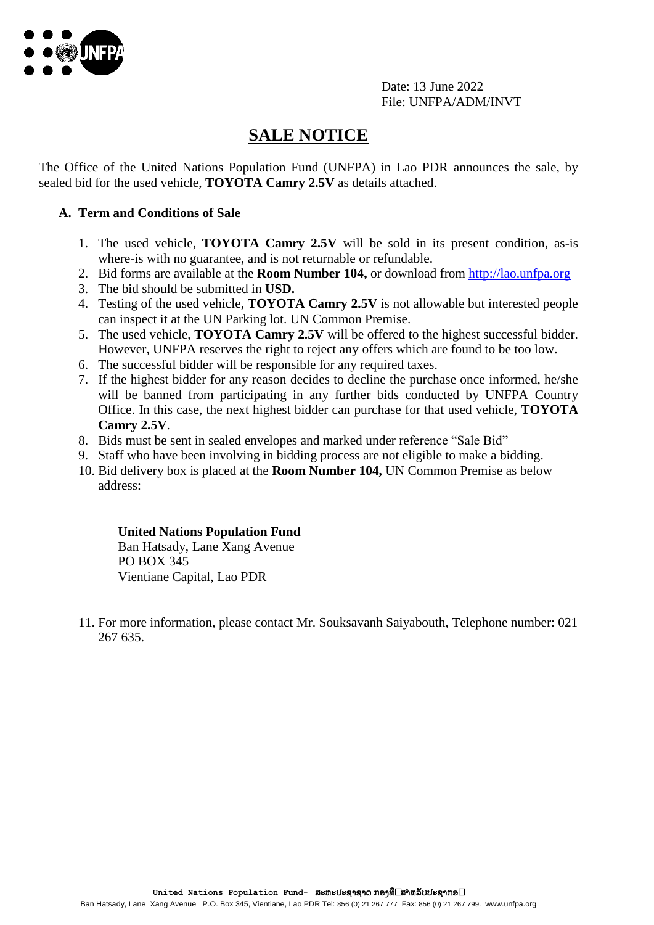

Date: 13 June 2022 File: UNFPA/ADM/INVT

# **SALE NOTICE**

The Office of the United Nations Population Fund (UNFPA) in Lao PDR announces the sale, by sealed bid for the used vehicle, **TOYOTA Camry 2.5V** as details attached.

### **A. Term and Conditions of Sale**

- 1. The used vehicle, **TOYOTA Camry 2.5V** will be sold in its present condition, as-is where-is with no guarantee, and is not returnable or refundable.
- 2. Bid forms are available at the **Room Number 104,** or download from [http://lao.unfpa.org](http://lao.unfpa.org/)
- 3. The bid should be submitted in **USD.**
- 4. Testing of the used vehicle, **TOYOTA Camry 2.5V** is not allowable but interested people can inspect it at the UN Parking lot. UN Common Premise.
- 5. The used vehicle, **TOYOTA Camry 2.5V** will be offered to the highest successful bidder. However, UNFPA reserves the right to reject any offers which are found to be too low.
- 6. The successful bidder will be responsible for any required taxes.
- 7. If the highest bidder for any reason decides to decline the purchase once informed, he/she will be banned from participating in any further bids conducted by UNFPA Country Office. In this case, the next highest bidder can purchase for that used vehicle, **TOYOTA Camry 2.5V**.
- 8. Bids must be sent in sealed envelopes and marked under reference "Sale Bid"
- 9. Staff who have been involving in bidding process are not eligible to make a bidding.
- 10. Bid delivery box is placed at the **Room Number 104,** UN Common Premise as below address:

#### **United Nations Population Fund**

Ban Hatsady, Lane Xang Avenue PO BOX 345 Vientiane Capital, Lao PDR

11. For more information, please contact Mr. Souksavanh Saiyabouth, Telephone number: 021 267 635.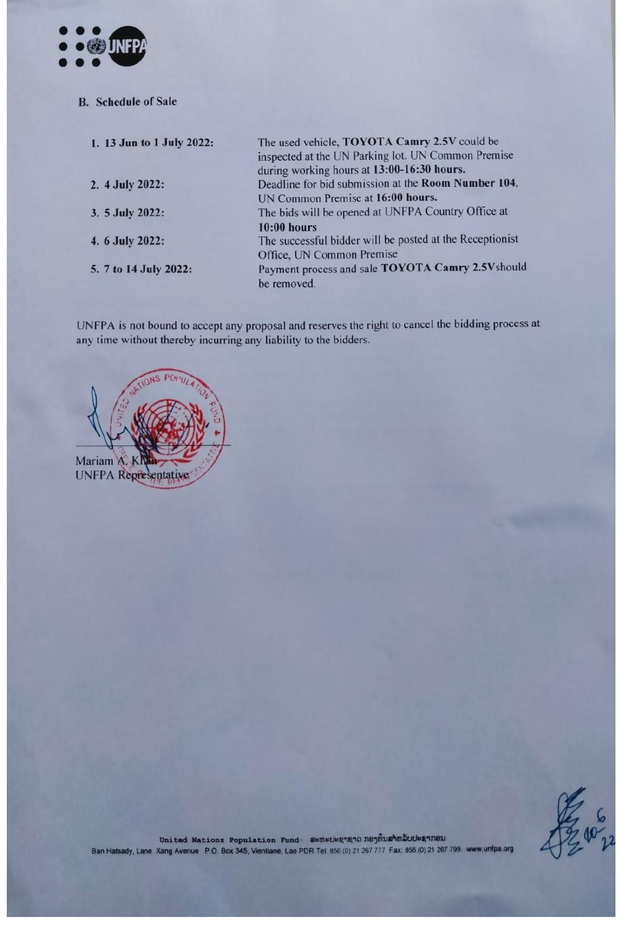

**B.** Schedule of Sale

| 1. 13 Jun to 1 July 2022: | The used vehicle, TOYOTA Camry 2.5V could be<br>inspected at the UN Parking lot. UN Common Premise<br>during working hours at 13:00-16:30 hours. |
|---------------------------|--------------------------------------------------------------------------------------------------------------------------------------------------|
| 2. 4 July 2022:           | Deadline for bid submission at the Room Number 104,                                                                                              |
|                           | UN Common Premise at 16:00 hours.                                                                                                                |
| 3. 5 July 2022:           | The bids will be opened at UNFPA Country Office at                                                                                               |
|                           | $10:00$ hours                                                                                                                                    |
| 4. 6 July 2022:           | The successful bidder will be posted at the Receptionist                                                                                         |
|                           | Office, UN Common Premise                                                                                                                        |
| 5. 7 to 14 July 2022:     | Payment process and sale TOYOTA Camry 2.5Vshould                                                                                                 |
|                           | be removed.                                                                                                                                      |

UNFPA is not bound to accept any proposal and reserves the right to cancel the bidding process at any time without thereby incurring any liability to the bidders.



53.02